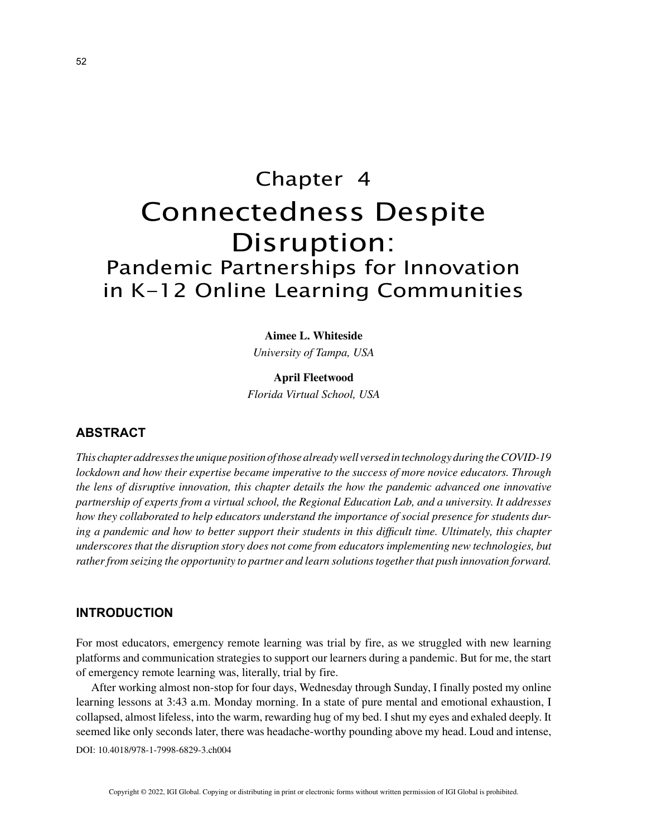# Chapter 4 Connectedness Despite Disruption: Pandemic Partnerships for Innovation in K-12 Online Learning Communities

**Aimee L. Whiteside**

*University of Tampa, USA*

**April Fleetwood** *Florida Virtual School, USA*

# **ABSTRACT**

*This chapter addresses the unique position of those already well versed in technology during the COVID-19 lockdown and how their expertise became imperative to the success of more novice educators. Through the lens of disruptive innovation, this chapter details the how the pandemic advanced one innovative partnership of experts from a virtual school, the Regional Education Lab, and a university. It addresses how they collaborated to help educators understand the importance of social presence for students during a pandemic and how to better support their students in this difficult time. Ultimately, this chapter underscores that the disruption story does not come from educators implementing new technologies, but rather from seizing the opportunity to partner and learn solutions together that push innovation forward.*

### **INTRODUCTION**

For most educators, emergency remote learning was trial by fire, as we struggled with new learning platforms and communication strategies to support our learners during a pandemic. But for me, the start of emergency remote learning was, literally, trial by fire.

After working almost non-stop for four days, Wednesday through Sunday, I finally posted my online learning lessons at 3:43 a.m. Monday morning. In a state of pure mental and emotional exhaustion, I collapsed, almost lifeless, into the warm, rewarding hug of my bed. I shut my eyes and exhaled deeply. It seemed like only seconds later, there was headache-worthy pounding above my head. Loud and intense,

DOI: 10.4018/978-1-7998-6829-3.ch004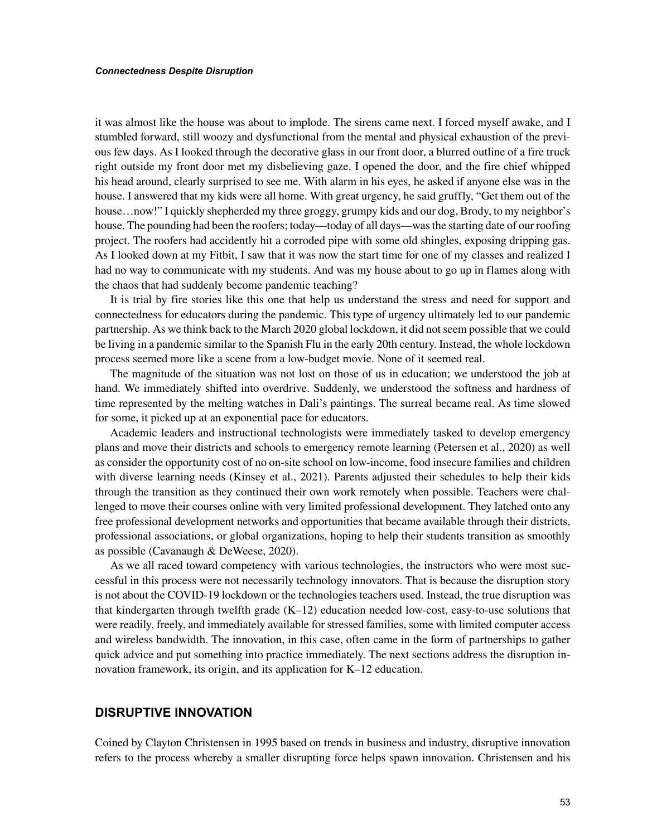it was almost like the house was about to implode. The sirens came next. I forced myself awake, and I stumbled forward, still woozy and dysfunctional from the mental and physical exhaustion of the previous few days. As I looked through the decorative glass in our front door, a blurred outline of a fire truck right outside my front door met my disbelieving gaze. I opened the door, and the fire chief whipped his head around, clearly surprised to see me. With alarm in his eyes, he asked if anyone else was in the house. I answered that my kids were all home. With great urgency, he said gruffly, "Get them out of the house…now!" I quickly shepherded my three groggy, grumpy kids and our dog, Brody, to my neighbor's house. The pounding had been the roofers; today—today of all days—was the starting date of our roofing project. The roofers had accidently hit a corroded pipe with some old shingles, exposing dripping gas. As I looked down at my Fitbit, I saw that it was now the start time for one of my classes and realized I had no way to communicate with my students. And was my house about to go up in flames along with the chaos that had suddenly become pandemic teaching?

It is trial by fire stories like this one that help us understand the stress and need for support and connectedness for educators during the pandemic. This type of urgency ultimately led to our pandemic partnership. As we think back to the March 2020 global lockdown, it did not seem possible that we could be living in a pandemic similar to the Spanish Flu in the early 20th century. Instead, the whole lockdown process seemed more like a scene from a low-budget movie. None of it seemed real.

The magnitude of the situation was not lost on those of us in education; we understood the job at hand. We immediately shifted into overdrive. Suddenly, we understood the softness and hardness of time represented by the melting watches in Dali's paintings. The surreal became real. As time slowed for some, it picked up at an exponential pace for educators.

Academic leaders and instructional technologists were immediately tasked to develop emergency plans and move their districts and schools to emergency remote learning (Petersen et al., 2020) as well as consider the opportunity cost of no on-site school on low-income, food insecure families and children with diverse learning needs (Kinsey et al., 2021). Parents adjusted their schedules to help their kids through the transition as they continued their own work remotely when possible. Teachers were challenged to move their courses online with very limited professional development. They latched onto any free professional development networks and opportunities that became available through their districts, professional associations, or global organizations, hoping to help their students transition as smoothly as possible (Cavanaugh & DeWeese, 2020).

As we all raced toward competency with various technologies, the instructors who were most successful in this process were not necessarily technology innovators. That is because the disruption story is not about the COVID-19 lockdown or the technologies teachers used. Instead, the true disruption was that kindergarten through twelfth grade (K–12) education needed low-cost, easy-to-use solutions that were readily, freely, and immediately available for stressed families, some with limited computer access and wireless bandwidth. The innovation, in this case, often came in the form of partnerships to gather quick advice and put something into practice immediately. The next sections address the disruption innovation framework, its origin, and its application for K–12 education.

## **DISRUPTIVE INNOVATION**

Coined by Clayton Christensen in 1995 based on trends in business and industry, disruptive innovation refers to the process whereby a smaller disrupting force helps spawn innovation. Christensen and his